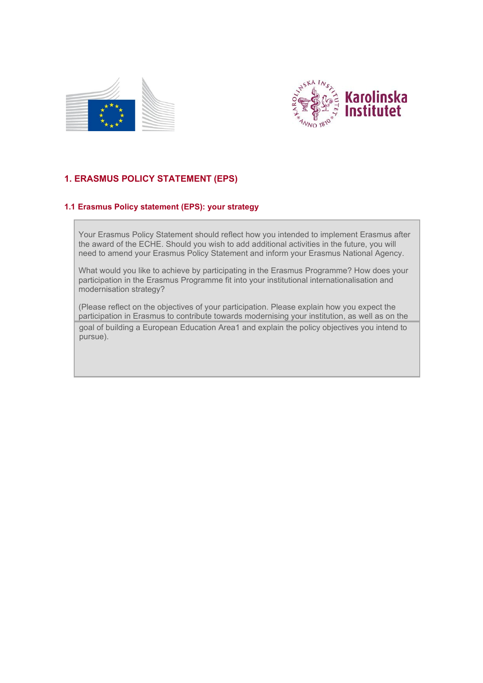



# **1. ERASMUS POLICY STATEMENT (EPS)**

## **1.1 Erasmus Policy statement (EPS): your strategy**

Your Erasmus Policy Statement should reflect how you intended to implement Erasmus after the award of the ECHE. Should you wish to add additional activities in the future, you will need to amend your Erasmus Policy Statement and inform your Erasmus National Agency.

What would you like to achieve by participating in the Erasmus Programme? How does your participation in the Erasmus Programme fit into your institutional internationalisation and modernisation strategy?

(Please reflect on the objectives of your participation. Please explain how you expect the participation in Erasmus to contribute towards modernising your institution, as well as on the goal of building a European Education Are[a1 a](#page-1-0)nd explain the policy objectives you intend to pursue).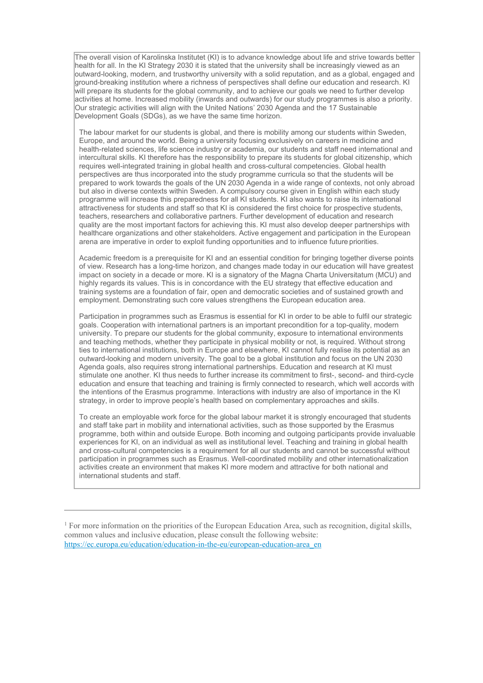The overall vision of Karolinska Institutet (KI) is to advance knowledge about life and strive towards better health for all. In the KI Strategy 2030 it is stated that the university shall be increasingly viewed as an outward-looking, modern, and trustworthy university with a solid reputation, and as a global, engaged and ground-breaking institution where a richness of perspectives shall define our education and research. KI will prepare its students for the global community, and to achieve our goals we need to further develop activities at home. Increased mobility (inwards and outwards) for our study programmes is also a priority. Our strategic activities will align with the United Nations' 2030 Agenda and the 17 Sustainable Development Goals (SDGs), as we have the same time horizon.

The labour market for our students is global, and there is mobility among our students within Sweden, Europe, and around the world. Being a university focusing exclusively on careers in medicine and health-related sciences, life science industry or academia, our students and staff need international and intercultural skills. KI therefore has the responsibility to prepare its students for global citizenship, which requires well-integrated training in global health and cross-cultural competencies. Global health perspectives are thus incorporated into the study programme curricula so that the students will be prepared to work towards the goals of the UN 2030 Agenda in a wide range of contexts, not only abroad but also in diverse contexts within Sweden. A compulsory course given in English within each study programme will increase this preparedness for all KI students. KI also wants to raise its international attractiveness for students and staff so that KI is considered the first choice for prospective students, teachers, researchers and collaborative partners. Further development of education and research quality are the most important factors for achieving this. KI must also develop deeper partnerships with healthcare organizations and other stakeholders. Active engagement and participation in the European arena are imperative in order to exploit funding opportunities and to influence future priorities.

Academic freedom is a prerequisite for KI and an essential condition for bringing together diverse points of view. Research has a long-time horizon, and changes made today in our education will have greatest impact on society in a decade or more. KI is a signatory of the Magna Charta Universitatum (MCU) and highly regards its values. This is in concordance with the EU strategy that effective education and training systems are a foundation of fair, open and democratic societies and of sustained growth and employment. Demonstrating such core values strengthens the European education area.

Participation in programmes such as Erasmus is essential for KI in order to be able to fulfil our strategic goals. Cooperation with international partners is an important precondition for a top-quality, modern university. To prepare our students for the global community, exposure to international environments and teaching methods, whether they participate in physical mobility or not, is required. Without strong ties to international institutions, both in Europe and elsewhere, KI cannot fully realise its potential as an outward-looking and modern university. The goal to be a global institution and focus on the UN 2030 Agenda goals, also requires strong international partnerships. Education and research at KI must stimulate one another. KI thus needs to further increase its commitment to first-, second- and third-cycle education and ensure that teaching and training is firmly connected to research, which well accords with the intentions of the Erasmus programme. Interactions with industry are also of importance in the KI strategy, in order to improve people's health based on complementary approaches and skills.

To create an employable work force for the global labour market it is strongly encouraged that students and staff take part in mobility and international activities, such as those supported by the Erasmus programme, both within and outside Europe. Both incoming and outgoing participants provide invaluable experiences for KI, on an individual as well as institutional level. Teaching and training in global health and cross-cultural competencies is a requirement for all our students and cannot be successful without participation in programmes such as Erasmus. Well-coordinated mobility and other internationalization activities create an environment that makes KI more modern and attractive for both national and international students and staff.

<span id="page-1-0"></span><sup>&</sup>lt;sup>1</sup> For more information on the priorities of the European Education Area, such as recognition, digital skills, common values and inclusive education, please consult the following website: [https://ec.europa.eu/education/education-in-the-eu/european-education-area\\_en](https://ec.europa.eu/education/education-in-the-eu/european-education-area_en)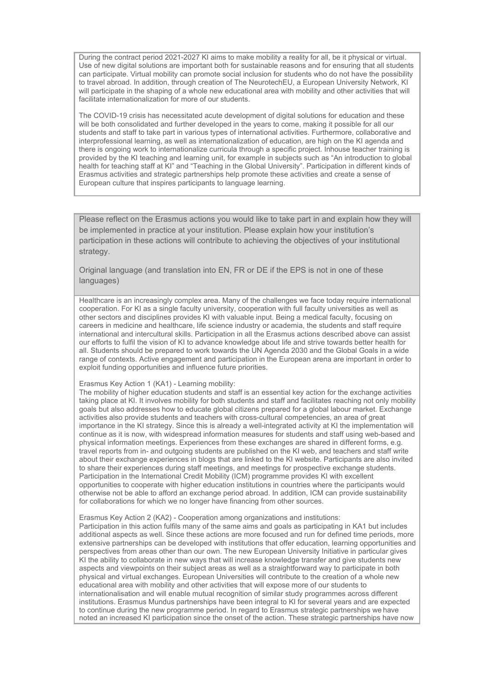During the contract period 2021-2027 KI aims to make mobility a reality for all, be it physical or virtual. Use of new digital solutions are important both for sustainable reasons and for ensuring that all students can participate. Virtual mobility can promote social inclusion for students who do not have the possibility to travel abroad. In addition, through creation of The NeurotechEU, a European University Network, KI will participate in the shaping of a whole new educational area with mobility and other activities that will facilitate internationalization for more of our students.

The COVID-19 crisis has necessitated acute development of digital solutions for education and these will be both consolidated and further developed in the years to come, making it possible for all our students and staff to take part in various types of international activities. Furthermore, collaborative and interprofessional learning, as well as internationalization of education, are high on the KI agenda and there is ongoing work to internationalize curricula through a specific project. Inhouse teacher training is provided by the KI teaching and learning unit, for example in subjects such as "An introduction to global health for teaching staff at KI" and "Teaching in the Global University". Participation in different kinds of Erasmus activities and strategic partnerships help promote these activities and create a sense of European culture that inspires participants to language learning.

Please reflect on the Erasmus actions you would like to take part in and explain how they will be implemented in practice at your institution. Please explain how your institution's participation in these actions will contribute to achieving the objectives of your institutional strategy.

Original language (and translation into EN, FR or DE if the EPS is not in one of these languages)

Healthcare is an increasingly complex area. Many of the challenges we face today require international cooperation. For KI as a single faculty university, cooperation with full faculty universities as well as other sectors and disciplines provides KI with valuable input. Being a medical faculty, focusing on careers in medicine and healthcare, life science industry or academia, the students and staff require international and intercultural skills. Participation in all the Erasmus actions described above can assist our efforts to fulfil the vision of KI to advance knowledge about life and strive towards better health for all. Students should be prepared to work towards the UN Agenda 2030 and the Global Goals in a wide range of contexts. Active engagement and participation in the European arena are important in order to exploit funding opportunities and influence future priorities.

#### Erasmus Key Action 1 (KA1) - Learning mobility:

The mobility of higher education students and staff is an essential key action for the exchange activities taking place at KI. It involves mobility for both students and staff and facilitates reaching not only mobility goals but also addresses how to educate global citizens prepared for a global labour market. Exchange activities also provide students and teachers with cross-cultural competencies, an area of great importance in the KI strategy. Since this is already a well-integrated activity at KI the implementation will continue as it is now, with widespread information measures for students and staff using web-based and physical information meetings. Experiences from these exchanges are shared in different forms, e.g. travel reports from in- and outgoing students are published on the KI web, and teachers and staff write about their exchange experiences in blogs that are linked to the KI website. Participants are also invited to share their experiences during staff meetings, and meetings for prospective exchange students. Participation in the International Credit Mobility (ICM) programme provides KI with excellent opportunities to cooperate with higher education institutions in countries where the participants would otherwise not be able to afford an exchange period abroad. In addition, ICM can provide sustainability for collaborations for which we no longer have financing from other sources.

### Erasmus Key Action 2 (KA2) - Cooperation among organizations and institutions:

Participation in this action fulfils many of the same aims and goals as participating in KA1 but includes additional aspects as well. Since these actions are more focused and run for defined time periods, more extensive partnerships can be developed with institutions that offer education, learning opportunities and perspectives from areas other than our own. The new European University Initiative in particular gives KI the ability to collaborate in new ways that will increase knowledge transfer and give students new aspects and viewpoints on their subject areas as well as a straightforward way to participate in both physical and virtual exchanges. European Universities will contribute to the creation of a whole new educational area with mobility and other activities that will expose more of our students to internationalisation and will enable mutual recognition of similar study programmes across different institutions. Erasmus Mundus partnerships have been integral to KI for several years and are expected to continue during the new programme period. In regard to Erasmus strategic partnerships we have noted an increased KI participation since the onset of the action. These strategic partnerships have now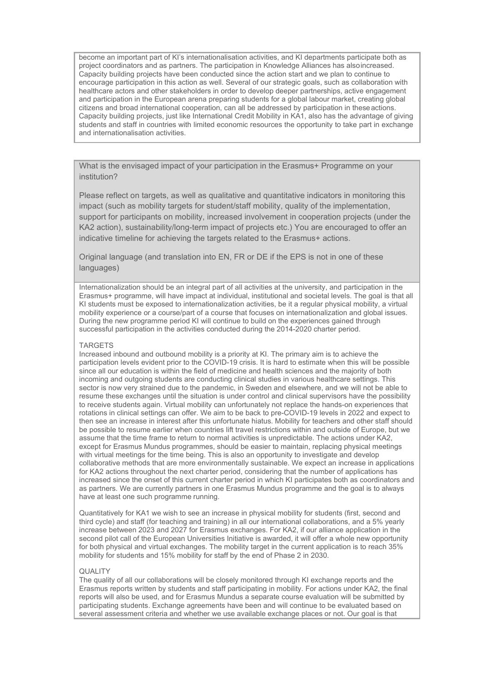become an important part of KI's internationalisation activities, and KI departments participate both as project coordinators and as partners. The participation in Knowledge Alliances has alsoincreased. Capacity building projects have been conducted since the action start and we plan to continue to encourage participation in this action as well. Several of our strategic goals, such as collaboration with healthcare actors and other stakeholders in order to develop deeper partnerships, active engagement and participation in the European arena preparing students for a global labour market, creating global citizens and broad international cooperation, can all be addressed by participation in theseactions. Capacity building projects, just like International Credit Mobility in KA1, also has the advantage of giving students and staff in countries with limited economic resources the opportunity to take part in exchange and internationalisation activities.

What is the envisaged impact of your participation in the Erasmus+ Programme on your institution?

Please reflect on targets, as well as qualitative and quantitative indicators in monitoring this impact (such as mobility targets for student/staff mobility, quality of the implementation, support for participants on mobility, increased involvement in cooperation projects (under the KA2 action), sustainability/long-term impact of projects etc.) You are encouraged to offer an indicative timeline for achieving the targets related to the Erasmus+ actions.

Original language (and translation into EN, FR or DE if the EPS is not in one of these languages)

Internationalization should be an integral part of all activities at the university, and participation in the Erasmus+ programme, will have impact at individual, institutional and societal levels. The goal is that all KI students must be exposed to internationalization activities, be it a regular physical mobility, a virtual mobility experience or a course/part of a course that focuses on internationalization and global issues. During the new programme period KI will continue to build on the experiences gained through successful participation in the activities conducted during the 2014-2020 charter period.

#### TARGETS

Increased inbound and outbound mobility is a priority at KI. The primary aim is to achieve the participation levels evident prior to the COVID-19 crisis. It is hard to estimate when this will be possible since all our education is within the field of medicine and health sciences and the majority of both incoming and outgoing students are conducting clinical studies in various healthcare settings. This sector is now very strained due to the pandemic, in Sweden and elsewhere, and we will not be able to resume these exchanges until the situation is under control and clinical supervisors have the possibility to receive students again. Virtual mobility can unfortunately not replace the hands-on experiences that rotations in clinical settings can offer. We aim to be back to pre-COVID-19 levels in 2022 and expect to then see an increase in interest after this unfortunate hiatus. Mobility for teachers and other staff should be possible to resume earlier when countries lift travel restrictions within and outside of Europe, but we assume that the time frame to return to normal activities is unpredictable. The actions under KA2, except for Erasmus Mundus programmes, should be easier to maintain, replacing physical meetings with virtual meetings for the time being. This is also an opportunity to investigate and develop collaborative methods that are more environmentally sustainable. We expect an increase in applications for KA2 actions throughout the next charter period, considering that the number of applications has increased since the onset of this current charter period in which KI participates both as coordinators and as partners. We are currently partners in one Erasmus Mundus programme and the goal is to always have at least one such programme running.

Quantitatively for KA1 we wish to see an increase in physical mobility for students (first, second and third cycle) and staff (for teaching and training) in all our international collaborations, and a 5% yearly increase between 2023 and 2027 for Erasmus exchanges. For KA2, if our alliance application in the second pilot call of the European Universities Initiative is awarded, it will offer a whole new opportunity for both physical and virtual exchanges. The mobility target in the current application is to reach 35% mobility for students and 15% mobility for staff by the end of Phase 2 in 2030.

### **QUALITY**

The quality of all our collaborations will be closely monitored through KI exchange reports and the Erasmus reports written by students and staff participating in mobility. For actions under KA2, the final reports will also be used, and for Erasmus Mundus a separate course evaluation will be submitted by participating students. Exchange agreements have been and will continue to be evaluated based on several assessment criteria and whether we use available exchange places or not. Our goal is that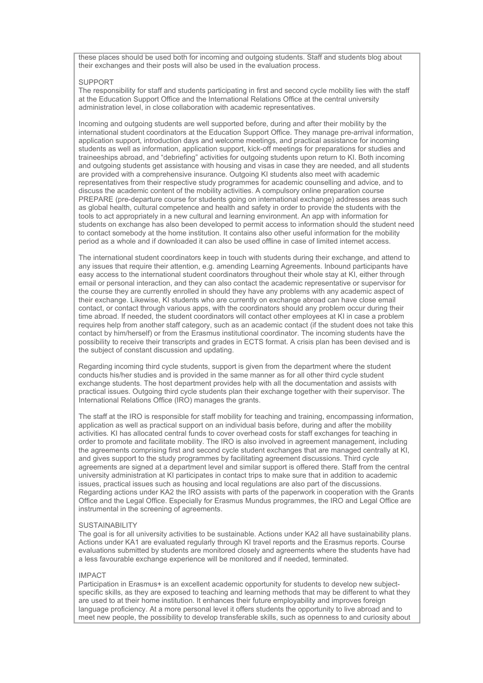these places should be used both for incoming and outgoing students. Staff and students blog about their exchanges and their posts will also be used in the evaluation process.

#### SUPPORT

The responsibility for staff and students participating in first and second cycle mobility lies with the staff at the Education Support Office and the International Relations Office at the central university administration level, in close collaboration with academic representatives.

Incoming and outgoing students are well supported before, during and after their mobility by the international student coordinators at the Education Support Office. They manage pre-arrival information, application support, introduction days and welcome meetings, and practical assistance for incoming students as well as information, application support, kick-off meetings for preparations for studies and traineeships abroad, and "debriefing" activities for outgoing students upon return to KI. Both incoming and outgoing students get assistance with housing and visas in case they are needed, and all students are provided with a comprehensive insurance. Outgoing KI students also meet with academic representatives from their respective study programmes for academic counselling and advice, and to discuss the academic content of the mobility activities. A compulsory online preparation course PREPARE (pre-departure course for students going on international exchange) addresses areas such as global health, cultural competence and health and safety in order to provide the students with the tools to act appropriately in a new cultural and learning environment. An app with information for students on exchange has also been developed to permit access to information should the student need to contact somebody at the home institution. It contains also other useful information for the mobility period as a whole and if downloaded it can also be used offline in case of limited internet access.

The international student coordinators keep in touch with students during their exchange, and attend to any issues that require their attention, e.g. amending Learning Agreements. Inbound participants have easy access to the international student coordinators throughout their whole stay at KI, either through email or personal interaction, and they can also contact the academic representative or supervisor for the course they are currently enrolled in should they have any problems with any academic aspect of their exchange. Likewise, KI students who are currently on exchange abroad can have close email contact, or contact through various apps, with the coordinators should any problem occur during their time abroad. If needed, the student coordinators will contact other employees at KI in case a problem requires help from another staff category, such as an academic contact (if the student does not take this contact by him/herself) or from the Erasmus institutional coordinator. The incoming students have the possibility to receive their transcripts and grades in ECTS format. A crisis plan has been devised and is the subject of constant discussion and updating.

Regarding incoming third cycle students, support is given from the department where the student conducts his/her studies and is provided in the same manner as for all other third cycle student exchange students. The host department provides help with all the documentation and assists with practical issues. Outgoing third cycle students plan their exchange together with their supervisor. The International Relations Office (IRO) manages the grants.

The staff at the IRO is responsible for staff mobility for teaching and training, encompassing information, application as well as practical support on an individual basis before, during and after the mobility activities. KI has allocated central funds to cover overhead costs for staff exchanges for teaching in order to promote and facilitate mobility. The IRO is also involved in agreement management, including the agreements comprising first and second cycle student exchanges that are managed centrally at KI, and gives support to the study programmes by facilitating agreement discussions. Third cycle agreements are signed at a department level and similar support is offered there. Staff from the central university administration at KI participates in contact trips to make sure that in addition to academic issues, practical issues such as housing and local regulations are also part of the discussions. Regarding actions under KA2 the IRO assists with parts of the paperwork in cooperation with the Grants Office and the Legal Office. Especially for Erasmus Mundus programmes, the IRO and Legal Office are instrumental in the screening of agreements.

#### **SUSTAINABILITY**

The goal is for all university activities to be sustainable. Actions under KA2 all have sustainability plans. Actions under KA1 are evaluated regularly through KI travel reports and the Erasmus reports. Course evaluations submitted by students are monitored closely and agreements where the students have had a less favourable exchange experience will be monitored and if needed, terminated.

#### IMPACT

Participation in Erasmus+ is an excellent academic opportunity for students to develop new subjectspecific skills, as they are exposed to teaching and learning methods that may be different to what they are used to at their home institution. It enhances their future employability and improves foreign language proficiency. At a more personal level it offers students the opportunity to live abroad and to meet new people, the possibility to develop transferable skills, such as openness to and curiosity about